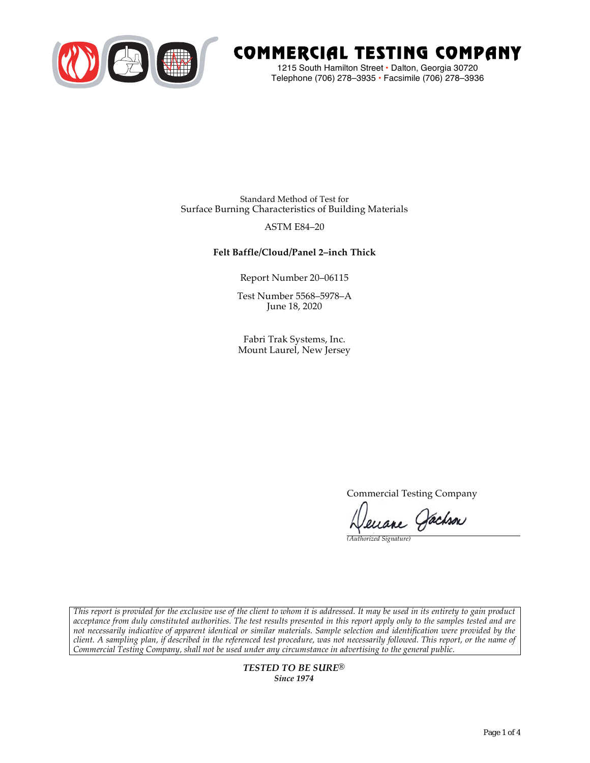

# COMMERCIAL TESTING COMPANY

1215 South Hamilton Street • Dalton, Georgia 30720 Telephone (706) 278–3935 **•** Facsimile (706) 278–3936

Standard Method of Test for Surface Burning Characteristics of Building Materials

### ASTM E84–20

## **Felt Baffle/Cloud/Panel 2–inch Thick**

Report Number 20–06115

Test Number 5568–5978–A June 18, 2020

Fabri Trak Systems, Inc. Mount Laurel, New Jersey

Commercial Testing Company

enane Jachson

*(Authorized Signature)* 

*This report is provided for the exclusive use of the client to whom it is addressed. It may be used in its entirety to gain product acceptance from duly constituted authorities. The test results presented in this report apply only to the samples tested and are not necessarily indicative of apparent identical or similar materials. Sample selection and identification were provided by the client. A sampling plan, if described in the referenced test procedure, was not necessarily followed. This report, or the name of Commercial Testing Company, shall not be used under any circumstance in advertising to the general public.* 

> *TESTED TO BE SURE® Since 1974*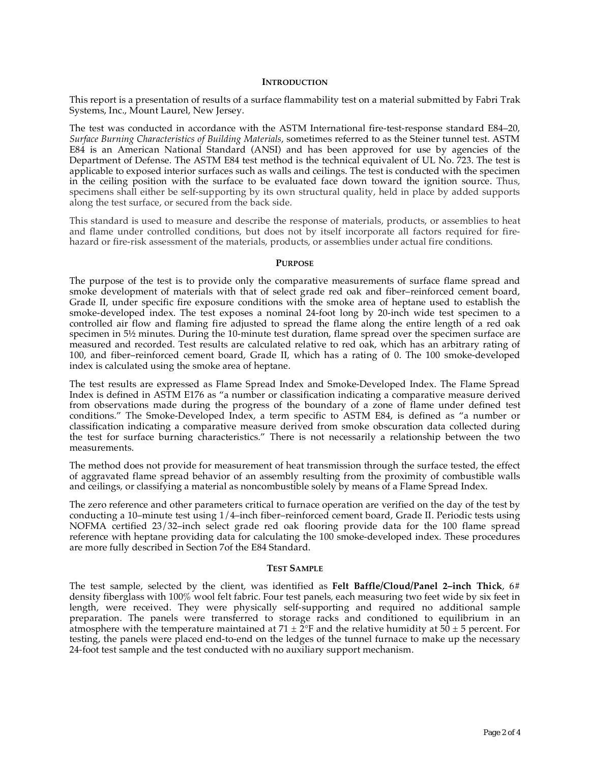#### **INTRODUCTION**

This report is a presentation of results of a surface flammability test on a material submitted by Fabri Trak Systems, Inc., Mount Laurel, New Jersey.

The test was conducted in accordance with the ASTM International fire-test-response standard E84–20, *Surface Burning Characteristics of Building Materials*, sometimes referred to as the Steiner tunnel test. ASTM E84 is an American National Standard (ANSI) and has been approved for use by agencies of the Department of Defense. The ASTM E84 test method is the technical equivalent of UL No. 723. The test is applicable to exposed interior surfaces such as walls and ceilings. The test is conducted with the specimen in the ceiling position with the surface to be evaluated face down toward the ignition source. Thus, specimens shall either be self-supporting by its own structural quality, held in place by added supports along the test surface, or secured from the back side.

This standard is used to measure and describe the response of materials, products, or assemblies to heat and flame under controlled conditions, but does not by itself incorporate all factors required for firehazard or fire-risk assessment of the materials, products, or assemblies under actual fire conditions.

#### **PURPOSE**

The purpose of the test is to provide only the comparative measurements of surface flame spread and smoke development of materials with that of select grade red oak and fiber–reinforced cement board, Grade II, under specific fire exposure conditions with the smoke area of heptane used to establish the smoke-developed index. The test exposes a nominal 24-foot long by 20-inch wide test specimen to a controlled air flow and flaming fire adjusted to spread the flame along the entire length of a red oak specimen in  $5\frac{1}{2}$  minutes. During the 10-minute test duration, flame spread over the specimen surface are measured and recorded. Test results are calculated relative to red oak, which has an arbitrary rating of 100, and fiber–reinforced cement board, Grade II, which has a rating of 0. The 100 smoke-developed index is calculated using the smoke area of heptane.

The test results are expressed as Flame Spread Index and Smoke-Developed Index. The Flame Spread Index is defined in ASTM E176 as "a number or classification indicating a comparative measure derived from observations made during the progress of the boundary of a zone of flame under defined test conditions." The Smoke-Developed Index, a term specific to ASTM E84, is defined as "a number or classification indicating a comparative measure derived from smoke obscuration data collected during the test for surface burning characteristics." There is not necessarily a relationship between the two measurements.

The method does not provide for measurement of heat transmission through the surface tested, the effect of aggravated flame spread behavior of an assembly resulting from the proximity of combustible walls and ceilings, or classifying a material as noncombustible solely by means of a Flame Spread Index.

The zero reference and other parameters critical to furnace operation are verified on the day of the test by conducting a 10–minute test using 1/4–inch fiber–reinforced cement board, Grade II. Periodic tests using NOFMA certified 23/32–inch select grade red oak flooring provide data for the 100 flame spread reference with heptane providing data for calculating the 100 smoke-developed index. These procedures are more fully described in Section 7of the E84 Standard.

#### **TEST SAMPLE**

The test sample, selected by the client, was identified as **Felt Baffle/Cloud/Panel 2–inch Thick**, 6# density fiberglass with 100% wool felt fabric. Four test panels, each measuring two feet wide by six feet in length, were received. They were physically self-supporting and required no additional sample preparation. The panels were transferred to storage racks and conditioned to equilibrium in an atmosphere with the temperature maintained at  $71 \pm 2$ °F and the relative humidity at  $50 \pm 5$  percent. For testing, the panels were placed end-to-end on the ledges of the tunnel furnace to make up the necessary 24-foot test sample and the test conducted with no auxiliary support mechanism.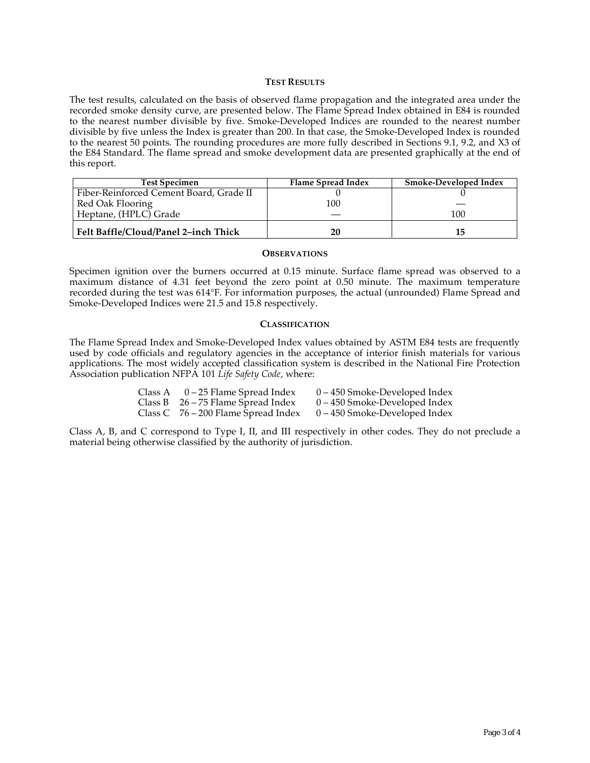#### **TEST RESULTS**

The test results, calculated on the basis of observed flame propagation and the integrated area under the recorded smoke density curve, are presented below. The Flame Spread Index obtained in E84 is rounded to the nearest number divisible by five. Smoke-Developed Indices are rounded to the nearest number divisible by five unless the Index is greater than 200. In that case, the Smoke-Developed Index is rounded to the nearest 50 points. The rounding procedures are more fully described in Sections 9.1, 9.2, and X3 of the E84 Standard. The flame spread and smoke development data are presented graphically at the end of this report.

| <b>Test Specimen</b>                    | Flame Spread Index | <b>Smoke-Developed Index</b> |
|-----------------------------------------|--------------------|------------------------------|
| Fiber-Reinforced Cement Board, Grade II |                    |                              |
| Red Oak Flooring                        | 100                |                              |
| Heptane, (HPLC) Grade                   |                    | 100                          |
| Felt Baffle/Cloud/Panel 2-inch Thick    | 20                 |                              |

#### **OBSERVATIONS**

Specimen ignition over the burners occurred at 0.15 minute. Surface flame spread was observed to a maximum distance of 4.31 feet beyond the zero point at 0.50 minute. The maximum temperature recorded during the test was 614°F. For information purposes, the actual (unrounded) Flame Spread and Smoke-Developed Indices were 21.5 and 15.8 respectively.

#### **CLASSIFICATION**

The Flame Spread Index and Smoke-Developed Index values obtained by ASTM E84 tests are frequently used by code officials and regulatory agencies in the acceptance of interior finish materials for various applications. The most widely accepted classification system is described in the National Fire Protection Association publication NFPA 101 *Life Safety Code*, where:

| Class A $0-25$ Flame Spread Index     | $0 - 450$ Smoke-Developed Index |
|---------------------------------------|---------------------------------|
| Class B $26 - 75$ Flame Spread Index  | $0 - 450$ Smoke-Developed Index |
| Class C $76 - 200$ Flame Spread Index | $0 - 450$ Smoke-Developed Index |

Class A, B, and C correspond to Type I, II, and III respectively in other codes. They do not preclude a material being otherwise classified by the authority of jurisdiction.